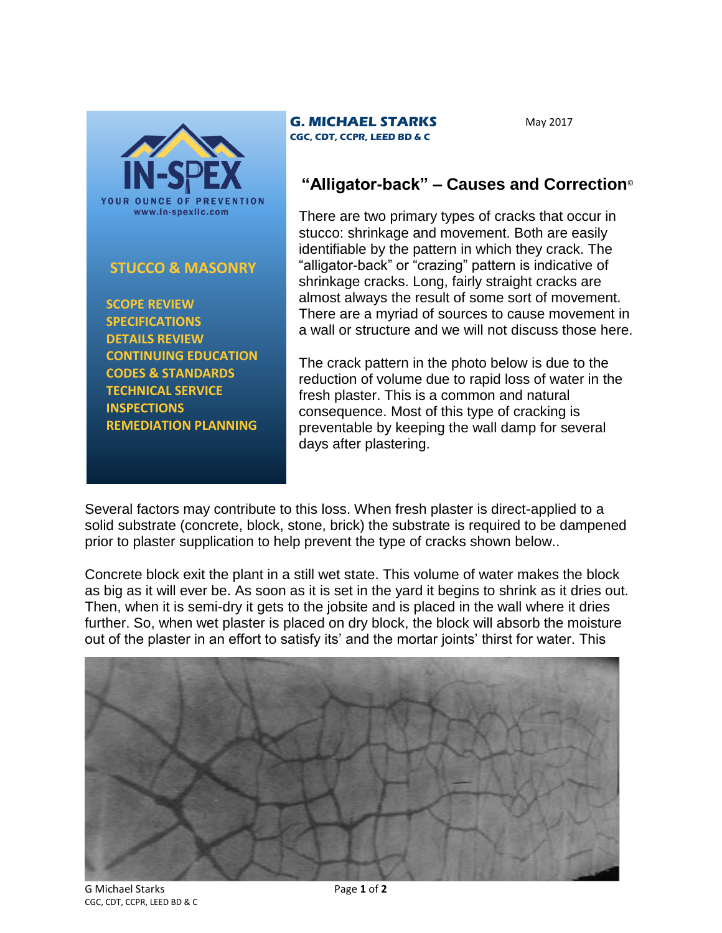

## **STUCCO & MASONRY**

 **SCOPE REVIEW SPECIFICATIONS DETAILS REVIEW CONTINUING EDUCATION CODES & STANDARDS TECHNICAL SERVICE INSPECTIONS REMEDIATION PLANNING**

## **G. MICHAEL STARKS CGC, CDT, CCPR, LEED BD & C**

May 2017

## **"Alligator-back" – Causes and Correction**©

There are two primary types of cracks that occur in stucco: shrinkage and movement. Both are easily identifiable by the pattern in which they crack. The "alligator-back" or "crazing" pattern is indicative of shrinkage cracks. Long, fairly straight cracks are almost always the result of some sort of movement. There are a myriad of sources to cause movement in a wall or structure and we will not discuss those here.

The crack pattern in the photo below is due to the reduction of volume due to rapid loss of water in the fresh plaster. This is a common and natural consequence. Most of this type of cracking is preventable by keeping the wall damp for several days after plastering.

Several factors may contribute to this loss. When fresh plaster is direct-applied to a solid substrate (concrete, block, stone, brick) the substrate is required to be dampened prior to plaster supplication to help prevent the type of cracks shown below..

Concrete block exit the plant in a still wet state. This volume of water makes the block as big as it will ever be. As soon as it is set in the yard it begins to shrink as it dries out. Then, when it is semi-dry it gets to the jobsite and is placed in the wall where it dries further. So, when wet plaster is placed on dry block, the block will absorb the moisture out of the plaster in an effort to satisfy its' and the mortar joints' thirst for water. This



G Michael Starks Page **1** of **2** CGC, CDT, CCPR, LEED BD & C